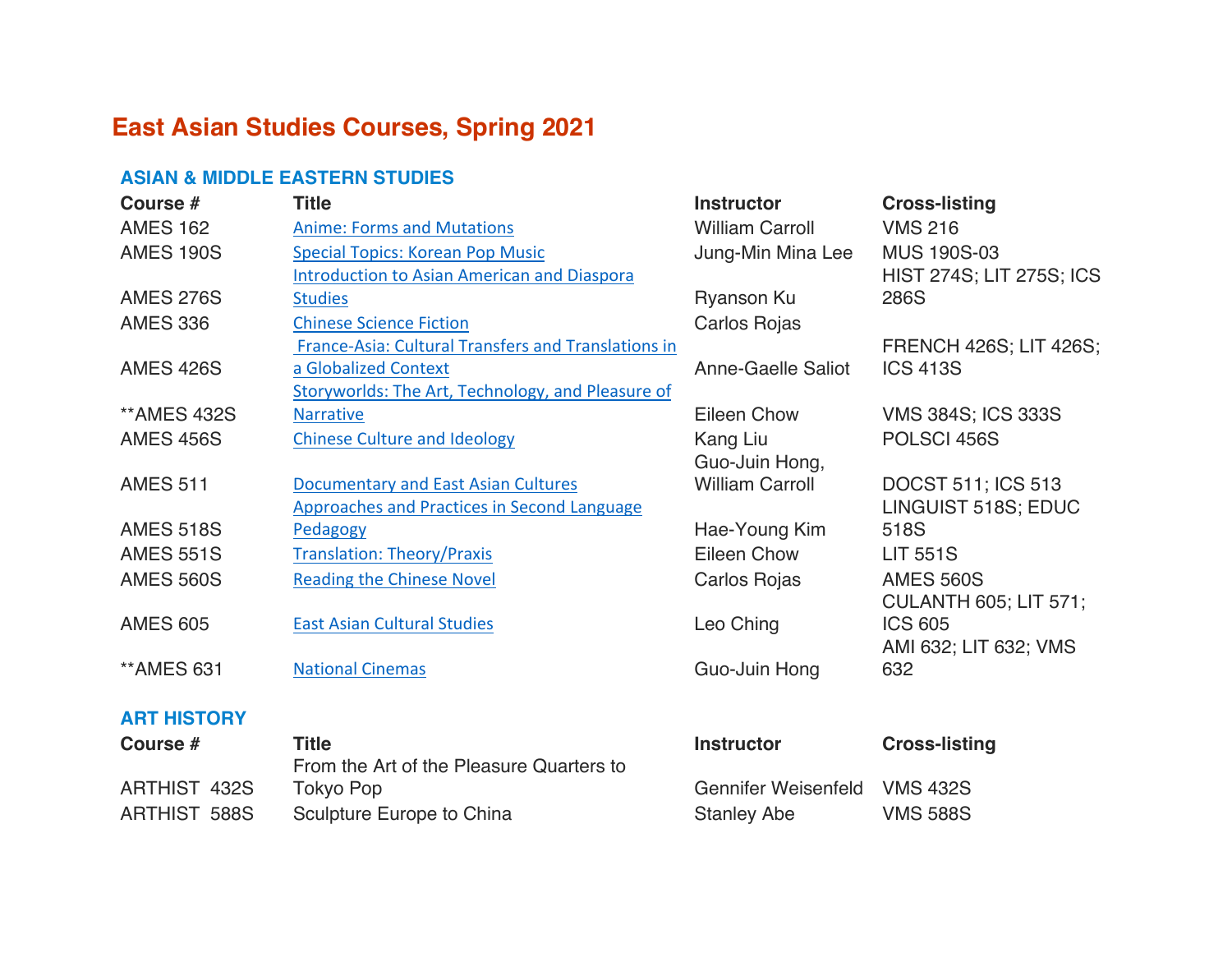# **East Asian Studies Courses, Spring 2021**

#### **ASIAN & MIDDLE EASTERN STUDIES**

ARTHIST 432S

| Course #                  | <b>Title</b>                                        | <b>Instructor</b>         | <b>Cross-listing</b>            |
|---------------------------|-----------------------------------------------------|---------------------------|---------------------------------|
| <b>AMES 162</b>           | <b>Anime: Forms and Mutations</b>                   | <b>William Carroll</b>    | <b>VMS 216</b>                  |
| <b>AMES 190S</b>          | <b>Special Topics: Korean Pop Music</b>             | Jung-Min Mina Lee         | <b>MUS 190S-03</b>              |
|                           | <b>Introduction to Asian American and Diaspora</b>  |                           | <b>HIST 274S; LIT 275S; ICS</b> |
| <b>AMES 276S</b>          | <b>Studies</b>                                      | Ryanson Ku                | 286S                            |
| <b>AMES 336</b>           | <b>Chinese Science Fiction</b>                      | Carlos Rojas              |                                 |
|                           | France-Asia: Cultural Transfers and Translations in |                           | <b>FRENCH 426S; LIT 426S;</b>   |
| <b>AMES 426S</b>          | a Globalized Context                                | <b>Anne-Gaelle Saliot</b> | <b>ICS 413S</b>                 |
|                           | Storyworlds: The Art, Technology, and Pleasure of   |                           |                                 |
| <b><i>**AMES 432S</i></b> | <b>Narrative</b>                                    | <b>Eileen Chow</b>        | <b>VMS 384S; ICS 333S</b>       |
| <b>AMES 456S</b>          | <b>Chinese Culture and Ideology</b>                 | Kang Liu                  | POLSCI 456S                     |
|                           |                                                     | Guo-Juin Hong,            |                                 |
| <b>AMES 511</b>           | <b>Documentary and East Asian Cultures</b>          | <b>William Carroll</b>    | <b>DOCST 511; ICS 513</b>       |
|                           | <b>Approaches and Practices in Second Language</b>  |                           | LINGUIST 518S; EDUC             |
| <b>AMES 518S</b>          | Pedagogy                                            | Hae-Young Kim             | 518S                            |
| <b>AMES 551S</b>          | <b>Translation: Theory/Praxis</b>                   | Eileen Chow               | <b>LIT 551S</b>                 |
| <b>AMES 560S</b>          | <b>Reading the Chinese Novel</b>                    | Carlos Rojas              | <b>AMES 560S</b>                |
|                           |                                                     |                           | <b>CULANTH 605; LIT 571;</b>    |
| <b>AMES 605</b>           | <b>East Asian Cultural Studies</b>                  | Leo Ching                 | <b>ICS 605</b>                  |
|                           |                                                     |                           | AMI 632; LIT 632; VMS           |
| <b>**AMES 631</b>         | <b>National Cinemas</b>                             | Guo-Juin Hong             | 632                             |
|                           |                                                     |                           |                                 |
| <b>ART HISTORY</b>        |                                                     |                           |                                 |
| Course #                  | <b>Title</b>                                        | <b>Instructor</b>         | <b>Cross-listing</b>            |
|                           | From the Art of the Pleasure Quarters to            |                           |                                 |

Tokyo Pop **Gennifer Weisenfeld** VMS 432S

ARTHIST 588S Sculpture Europe to China Stanley Abe VMS 588S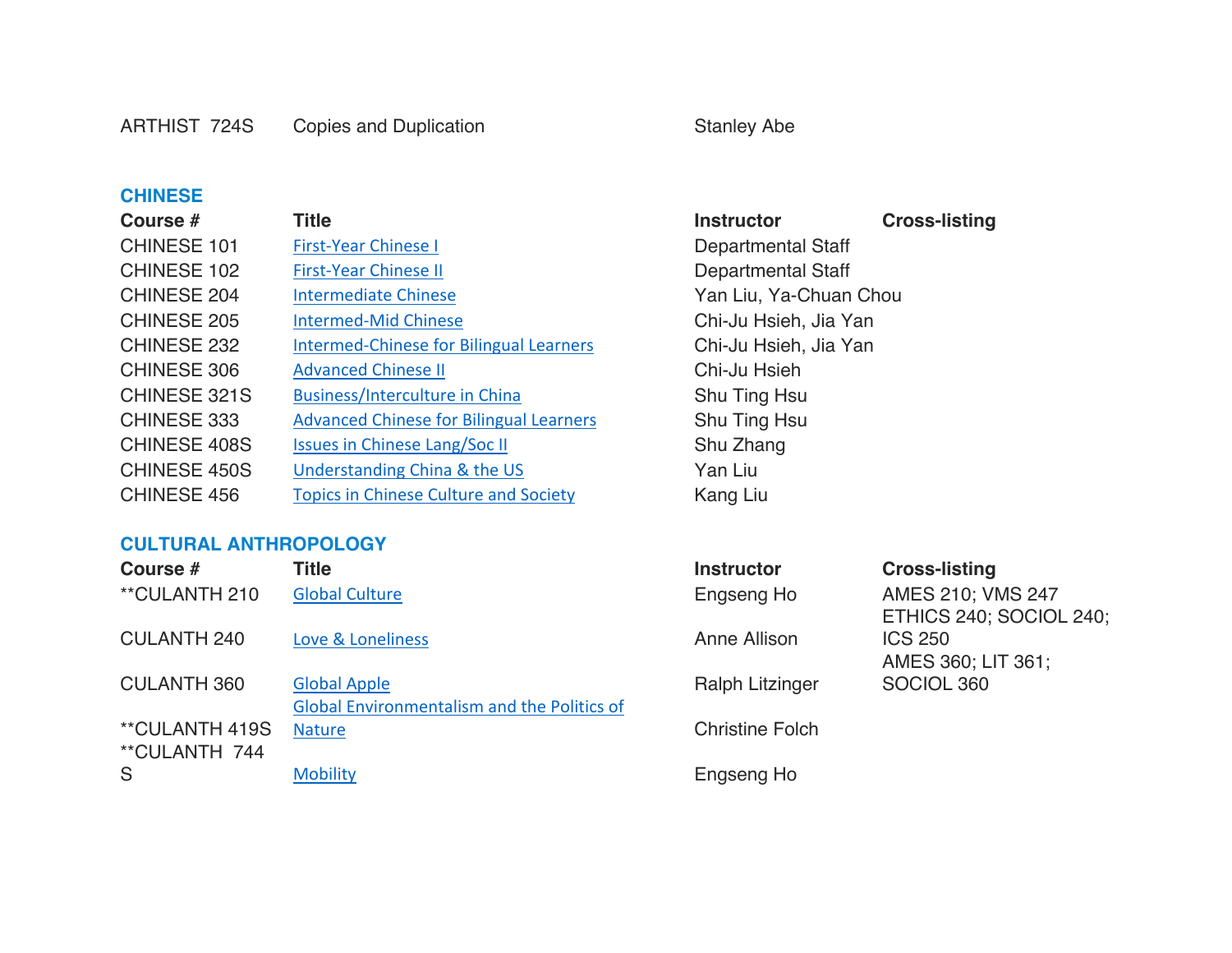#### **CHINESE**

| Course #           | Title                                          | <b>Instruc</b> |
|--------------------|------------------------------------------------|----------------|
| CHINESE 101        | <b>First-Year Chinese I</b>                    | Departr        |
| CHINESE 102        | <b>First-Year Chinese II</b>                   | Departr        |
| CHINESE 204        | <b>Intermediate Chinese</b>                    | Yan Liu        |
| <b>CHINESE 205</b> | <b>Intermed-Mid Chinese</b>                    | Chi-Ju I       |
| CHINESE 232        | <b>Intermed-Chinese for Bilingual Learners</b> | Chi-Ju ł       |
| <b>CHINESE 306</b> | <b>Advanced Chinese II</b>                     | Chi-Ju I       |
| CHINESE 321S       | <b>Business/Interculture in China</b>          | Shu Tin        |
| CHINESE 333        | <b>Advanced Chinese for Bilingual Learners</b> | Shu Tin        |
| CHINESE 408S       | <b>Issues in Chinese Lang/Soc II</b>           | Shu Zha        |
| CHINESE 450S       | Understanding China & the US                   | Yan Liu        |
| CHINESE 456        | <b>Topics in Chinese Culture and Society</b>   | Kang Li        |

#### **CULTURAL ANTHROPOLOGY**

| Course #                               | Title                                                              | <b>Instructor</b>      | <b>Cross-listing</b>                         |
|----------------------------------------|--------------------------------------------------------------------|------------------------|----------------------------------------------|
| **CULANTH 210                          | <b>Global Culture</b>                                              | Engseng Ho             | AMES 210; VMS 247<br>ETHICS 240; SOCIOL 240; |
| <b>CULANTH 240</b>                     | Love & Loneliness                                                  | Anne Allison           | <b>ICS 250</b><br>AMES 360; LIT 361;         |
| <b>CULANTH 360</b>                     | <b>Global Apple</b><br>Global Environmentalism and the Politics of | <b>Ralph Litzinger</b> | SOCIOL 360                                   |
| <b>**CULANTH 419S</b><br>**CULANTH 744 | <b>Nature</b>                                                      | <b>Christine Folch</b> |                                              |
| S                                      | <b>Mobility</b>                                                    | Engseng Ho             |                                              |

**Instructor Cross-listing** Departmental Staff Departmental Staff Yan Liu, Ya-Chuan Chou Chi-Ju Hsieh, Jia Yan Chi-Ju Hsieh, Jia Yan Chi-Ju Hsieh Shu Ting Hsu Shu Ting Hsu Shu Zhang Kang Liu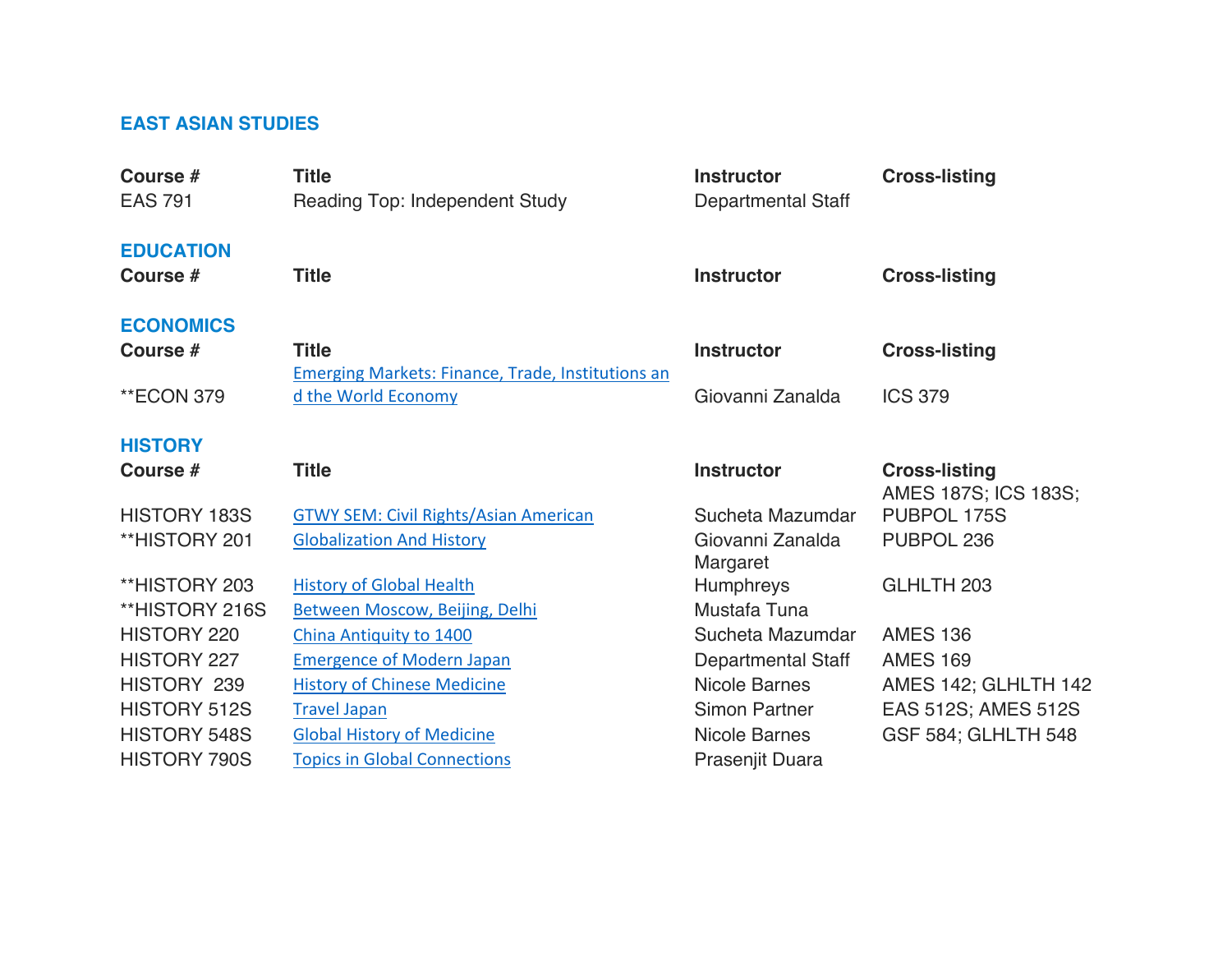## **EAST ASIAN STUDIES**

| Course #<br><b>EAS 791</b>   | <b>Title</b><br><b>Reading Top: Independent Study</b>                    | <b>Instructor</b><br><b>Departmental Staff</b> | <b>Cross-listing</b> |
|------------------------------|--------------------------------------------------------------------------|------------------------------------------------|----------------------|
| <b>EDUCATION</b><br>Course # | <b>Title</b>                                                             | <b>Instructor</b>                              | <b>Cross-listing</b> |
| <b>ECONOMICS</b><br>Course # | <b>Title</b><br><b>Emerging Markets: Finance, Trade, Institutions an</b> | <b>Instructor</b>                              | <b>Cross-listing</b> |
| **ECON 379                   | d the World Economy                                                      | Giovanni Zanalda                               | <b>ICS 379</b>       |
| <b>HISTORY</b><br>Course #   | <b>Title</b>                                                             | <b>Instructor</b>                              | <b>Cross-listing</b> |
|                              |                                                                          |                                                | AMES 187S; ICS 183S; |
| <b>HISTORY 183S</b>          | <b>GTWY SEM: Civil Rights/Asian American</b>                             | Sucheta Mazumdar                               | PUBPOL 175S          |
| **HISTORY 201                | <b>Globalization And History</b>                                         | Giovanni Zanalda<br>Margaret                   | PUBPOL 236           |
| **HISTORY 203                | <b>History of Global Health</b>                                          | <b>Humphreys</b>                               | GLHLTH 203           |
| **HISTORY 216S               | Between Moscow, Beijing, Delhi                                           | Mustafa Tuna                                   |                      |
| HISTORY 220                  | China Antiquity to 1400                                                  | Sucheta Mazumdar                               | <b>AMES 136</b>      |
| <b>HISTORY 227</b>           | <b>Emergence of Modern Japan</b>                                         | Departmental Staff                             | <b>AMES 169</b>      |
| HISTORY 239                  | <b>History of Chinese Medicine</b>                                       | <b>Nicole Barnes</b>                           | AMES 142; GLHLTH 142 |
| <b>HISTORY 512S</b>          | <b>Travel Japan</b>                                                      | <b>Simon Partner</b>                           | EAS 512S; AMES 512S  |
| <b>HISTORY 548S</b>          | <b>Global History of Medicine</b>                                        | <b>Nicole Barnes</b>                           | GSF 584; GLHLTH 548  |
| <b>HISTORY 790S</b>          | <b>Topics in Global Connections</b>                                      | Prasenjit Duara                                |                      |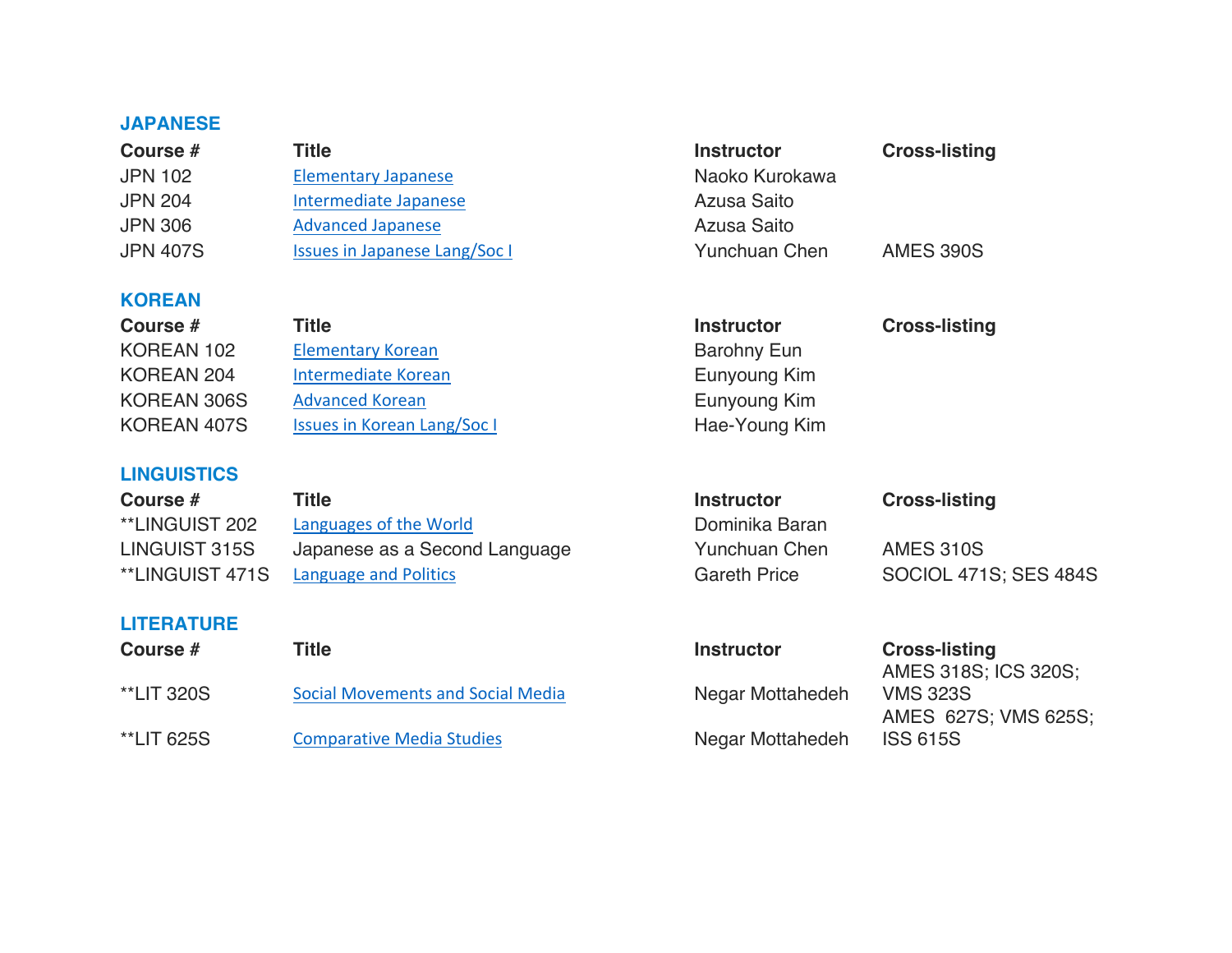### **JAPANESE**

| Course #        | Title                                | <b>Cross-listin</b><br><b>Instructor</b> |                  |  |
|-----------------|--------------------------------------|------------------------------------------|------------------|--|
| <b>JPN 102</b>  | <b>Elementary Japanese</b>           | Naoko Kurokawa                           |                  |  |
| <b>JPN 204</b>  | Intermediate Japanese                | Azusa Saito                              |                  |  |
| <b>JPN 306</b>  | <b>Advanced Japanese</b>             | Azusa Saito                              |                  |  |
| <b>JPN 407S</b> | <b>Issues in Japanese Lang/Soc I</b> | Yunchuan Chen                            | <b>AMES 390S</b> |  |

### **KOREAN**

| Course #    | Title                              | <b>Instructor</b>  | <b>Cross-listing</b> |
|-------------|------------------------------------|--------------------|----------------------|
| KOREAN 102  | <b>Elementary Korean</b>           | <b>Barohny Eun</b> |                      |
| KOREAN 204  | Intermediate Korean                | Eunyoung Kim       |                      |
| KOREAN 306S | <b>Advanced Korean</b>             | Eunyoung Kim       |                      |
| KOREAN 407S | <b>Issues in Korean Lang/Soc I</b> | Hae-Young Kim      |                      |

**Instructor Cross-listing** 

### **LINGUISTICS**

**LITERATURE**

| <b>Course #</b> | Title                         | <b>Instructor</b>   | <b>Cross-listing</b>  |
|-----------------|-------------------------------|---------------------|-----------------------|
| **LINGUIST 202  | Languages of the World        | Dominika Baran      |                       |
| LINGUIST 315S   | Japanese as a Second Language | Yunchuan Chen       | AMES 310S             |
| **LINGUIST 471S | Language and Politics         | <b>Gareth Price</b> | SOCIOL 471S; SES 484S |
|                 |                               |                     |                       |

| Title                                    | <b>Instructor</b> | <b>Cross-listing</b> |
|------------------------------------------|-------------------|----------------------|
|                                          |                   | AMES 318S; ICS 320S; |
| <b>Social Movements and Social Media</b> | Negar Mottahedeh  | <b>VMS 323S</b>      |
|                                          |                   | AMES 627S; VMS 625S; |
| <b>Comparative Media Studies</b>         | Negar Mottahedeh  | <b>ISS 615S</b>      |
|                                          |                   |                      |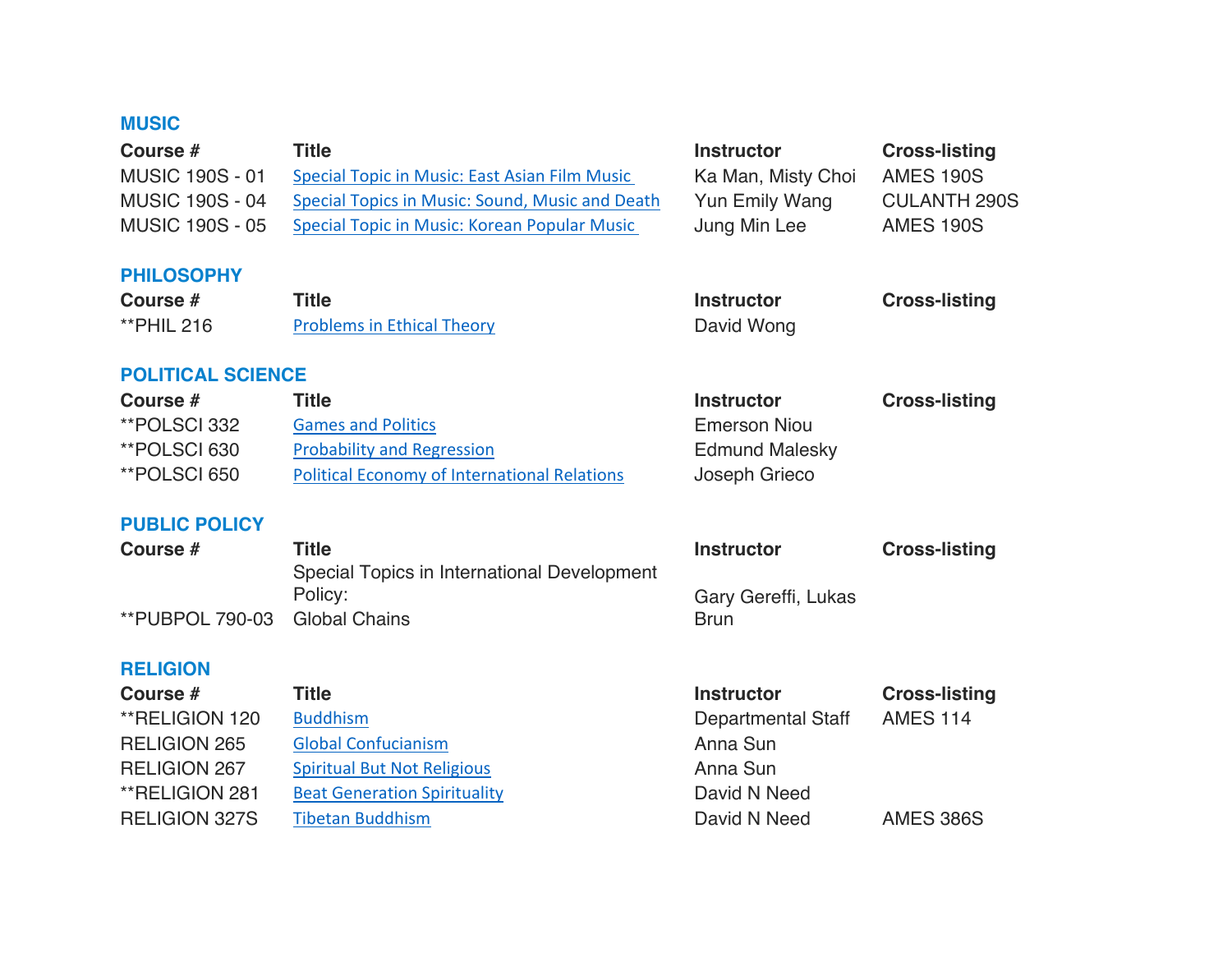## **MUSIC**

| Course #<br><b>MUSIC 190S - 01</b><br><b>MUSIC 190S - 04</b><br><b>MUSIC 190S - 05</b> | <b>Title</b><br>Special Topic in Music: East Asian Film Music<br>Special Topics in Music: Sound, Music and Death<br>Special Topic in Music: Korean Popular Music | <b>Instructor</b><br>Ka Man, Misty Choi<br><b>Yun Emily Wang</b><br>Jung Min Lee | <b>Cross-listing</b><br><b>AMES 190S</b><br><b>CULANTH 290S</b><br><b>AMES 190S</b> |
|----------------------------------------------------------------------------------------|------------------------------------------------------------------------------------------------------------------------------------------------------------------|----------------------------------------------------------------------------------|-------------------------------------------------------------------------------------|
| <b>PHILOSOPHY</b><br>Course #                                                          | <b>Title</b>                                                                                                                                                     | <b>Instructor</b>                                                                | <b>Cross-listing</b>                                                                |
| <b>**PHIL 216</b>                                                                      | <b>Problems in Ethical Theory</b>                                                                                                                                | David Wong                                                                       |                                                                                     |
| <b>POLITICAL SCIENCE</b>                                                               |                                                                                                                                                                  |                                                                                  |                                                                                     |
| Course #                                                                               | <b>Title</b>                                                                                                                                                     | <b>Instructor</b>                                                                | <b>Cross-listing</b>                                                                |
| **POLSCI 332<br><b>**POLSCI 630</b>                                                    | <b>Games and Politics</b><br><b>Probability and Regression</b>                                                                                                   | <b>Emerson Niou</b><br><b>Edmund Malesky</b>                                     |                                                                                     |
| **POLSCI 650                                                                           | <b>Political Economy of International Relations</b>                                                                                                              | Joseph Grieco                                                                    |                                                                                     |
| <b>PUBLIC POLICY</b>                                                                   |                                                                                                                                                                  |                                                                                  |                                                                                     |
| Course #                                                                               | <b>Title</b>                                                                                                                                                     | <b>Instructor</b>                                                                | <b>Cross-listing</b>                                                                |
|                                                                                        | Special Topics in International Development<br>Policy:                                                                                                           | Gary Gereffi, Lukas                                                              |                                                                                     |
| **PUBPOL 790-03                                                                        | <b>Global Chains</b>                                                                                                                                             | <b>Brun</b>                                                                      |                                                                                     |
| <b>RELIGION</b>                                                                        |                                                                                                                                                                  |                                                                                  |                                                                                     |
| Course #                                                                               | <b>Title</b>                                                                                                                                                     | <b>Instructor</b>                                                                | <b>Cross-listing</b>                                                                |
| **RELIGION 120                                                                         | <b>Buddhism</b>                                                                                                                                                  | <b>Departmental Staff</b>                                                        | <b>AMES 114</b>                                                                     |
| <b>RELIGION 265</b>                                                                    | <b>Global Confucianism</b>                                                                                                                                       | Anna Sun                                                                         |                                                                                     |
| <b>RELIGION 267</b>                                                                    | <b>Spiritual But Not Religious</b>                                                                                                                               | Anna Sun                                                                         |                                                                                     |
| **RELIGION 281                                                                         | <b>Beat Generation Spirituality</b>                                                                                                                              | David N Need                                                                     |                                                                                     |
| <b>RELIGION 327S</b>                                                                   | <b>Tibetan Buddhism</b>                                                                                                                                          | David N Need                                                                     | <b>AMES 386S</b>                                                                    |